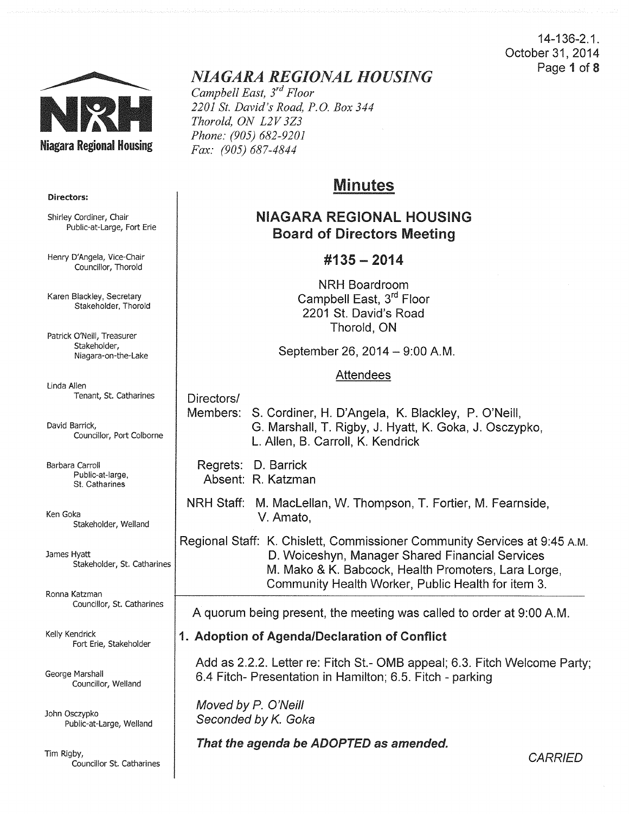14-136-2.1. October 31, 2014 Page 1 of 8



# *NIAGARA REGIONAL HOUSING*

*Campbell East, 3rd Floor 2201 St. David's Road, P.O. Box 344 Thorold, ON L2V 3Z3 Phone: (905) 682-9201 Fax: (905) 687-4844* 

# Minutes

# NIAGARA REGIONAl HOUSING Board of Directors Meeting

# #135- 2014

NRH Boardroom Campbell East, 3<sup>rd</sup> Floor 2201 St. David's Road Thorold, ON

September 26, 2014 - 9:00 A.M.

#### Attendees

Directors/ Members: S. Cordiner, H. D'Angela, K. Blackley, P. O'Neill, G. Marshall, T. Rigby, J. Hyatt, K. Goka, J. Osczypko, L. Allen, B. Carroll, K. Kendrick

Regrets: D. Barrick Absent: R. Katzman

NRH Staff: M. Maclellan, W. Thompson, T. Fortier, M. Fearnside, V. Amato,

Regional Staff: K. Chislett, Commissioner Community Services at 9:45 A.M. D. Woiceshyn, Manager Shared Financial Services M. Mako & K. Babcock, Health Promoters, Lara Lorge, Community Health Worker, Public Health for item 3.

A quorum being present, the meeting was called to order at 9:00 A.M.

# 1. Adoption of Agenda/Declaration of Conflict

Add as 2.2.2. Letter re: Fitch St.- OMB appeal; 6.3. Fitch Welcome Party; 6.4 Fitch- Presentation in Hamilton; 6.5. Fitch - parking

Moved by P. O'Neill Seconded by K. Goka

That the agenda be ADOPTED as amended.

**CARRIED** 

#### Directors:

Shirley Cordiner, Chair Public-at-Large, Fort Erie

Henry D'Angela, Vice-Chair Councillor, Thorold

Karen Blackley, Secretary Stakeholder, Thorold

Patrick O'Neill, Treasurer Stakeholder, Niagara-on-the-Lake

Linda Allen Tenant, St. Catharines

David Barrick, Councillor, Port Colborne

Barbara Carroll Public-at-large, St. Catharines

Ken Goka Stakeholder, Weiland

James Hyatt Stakeholder, St. Catharines

Ronna Katzman Councillor, St. Catharines

Kelly Kendrick Fort Erie, Stakeholder

George Marshall Councillor, Weiland

John Osczypko Public-at-Large, Weiland

Tim Rigby, Councillor St. Catharines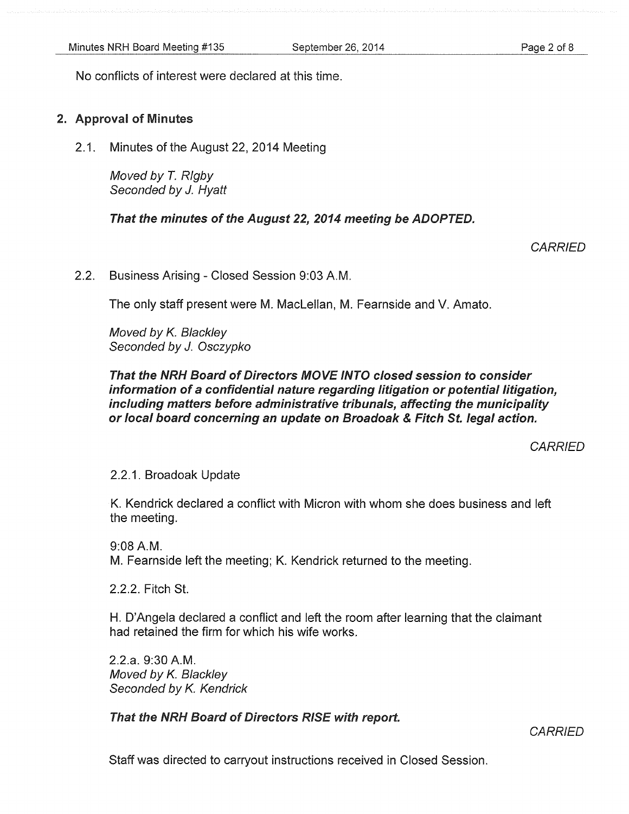Page 2 of 8

No conflicts of interest were declared at this time.

# 2. Approval of Minutes

2.1. Minutes of the August 22, 2014 Meeting

Moved by *T.* Rigby Seconded by J. Hyatt

That the minutes of the August 22, 2014 meeting be ADOPTED.

**CARRIED** 

2.2. Business Arising- Closed Session 9:03A.M.

The only staff present were M. Maclellan, M. Fearnside and V. Amato.

Moved by *K.* Blackley Seconded by J. Osczypko

# That the NRH Board of Directors MOVE INTO closed session to consider information of a confidential nature regarding litigation or potential litigation, including matters before administrative tribunals, affecting the municipality or local board concerning an update on Broadoak & Fitch St. legal action.

**CARRIED** 

2.2.1. Broadoak Update

K. Kendrick declared a conflict with Micron with whom she does business and left the meeting.

9:08A.M. M. Fearnside left the meeting; K. Kendrick returned to the meeting.

2.2.2. Fitch St.

H. D'Angela declared a conflict and left the room after learning that the claimant had retained the firm for which his wife works.

2.2.a. 9:30A.M. Moved by *K.* Blackley Seconded by *K.* Kendrick

That the NRH Board of Directors RISE with report.

**CARRIED** 

Staff was directed to carryout instructions received in Closed Session.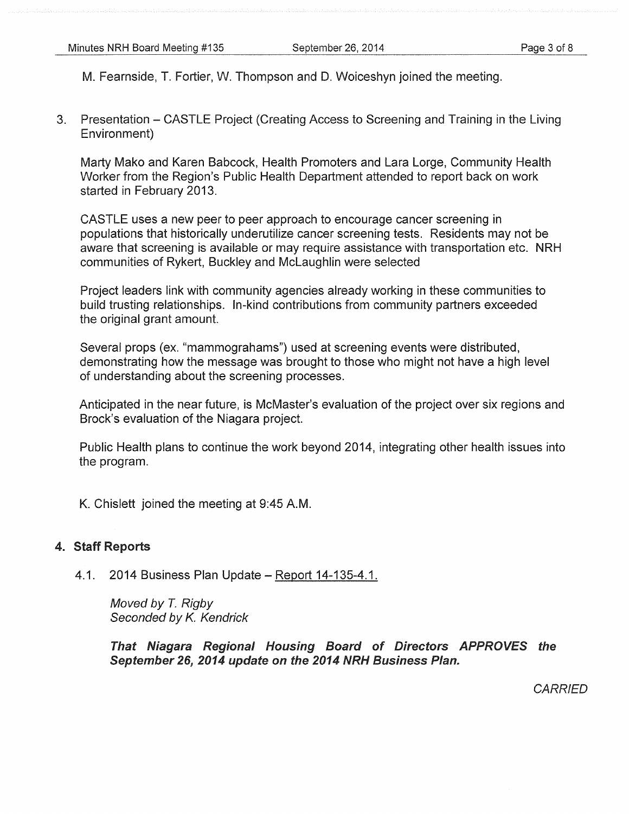M. Fearnside, T. Fortier, W. Thompson and D. Woiceshyn joined the meeting.

3. Presentation - CASTLE Project (Creating Access to Screening and Training in the Living Environment)

Marty Mako and Karen Babcock, Health Promoters and Lara Lorge, Community Health Worker from the Region's Public Health Department attended to report back on work started in February 2013.

CASTLE uses a new peer to peer approach to encourage cancer screening in populations that historically underutilize cancer screening tests. Residents may not be aware that screening is available or may require assistance with transportation etc. NRH communities of Rykert, Buckley and Mclaughlin were selected

Project leaders link with community agencies already working in these communities to build trusting relationships. In-kind contributions from community partners exceeded the original grant amount.

Several props (ex. "mammograhams") used at screening events were distributed, demonstrating how the message was brought to those who might not have a high level of understanding about the screening processes.

Anticipated in the near future, is McMaster's evaluation of the project over six regions and Brock's evaluation of the Niagara project.

Public Health plans to continue the work beyond 2014, integrating other health issues into the program.

K. Chislett joined the meeting at 9:45 A.M.

# 4. Staff Reports

4.1. 2014 Business Plan Update – Report 14-135-4.1.

Moved by *T.* Rigby Seconded by K. Kendrick

That Niagara Regional Housing Board of Directors APPROVES the September 26, 2014 update on the 2014 NRH Business Plan.

**CARRIED**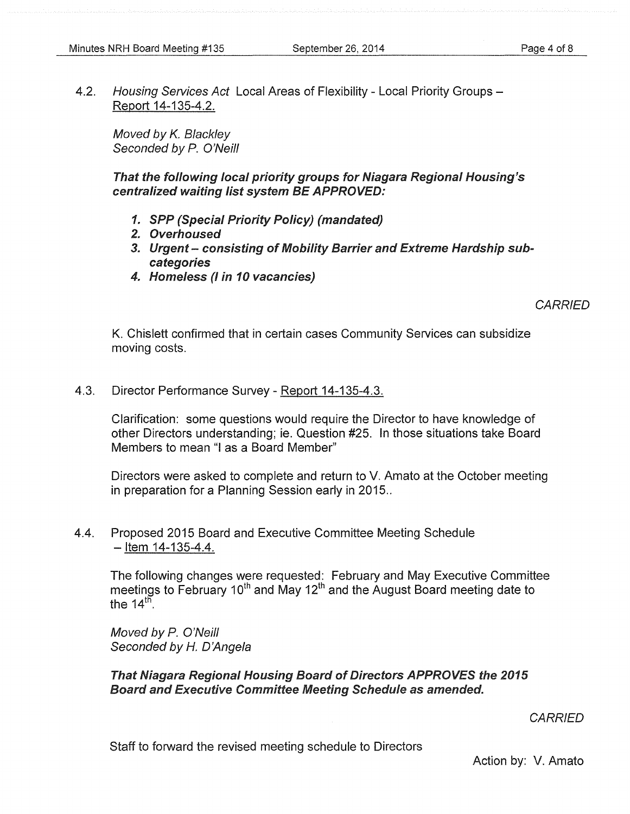4.2. Housing Services Act Local Areas of Flexibility - Local Priority Groups -Report 14-135-4.2.

Moved by K. Blackley Seconded by P. O'Neill

That the following local priority groups for Niagara Regional Housing's centralized waiting list system BE APPROVED:

- 1. SPP (Special Priority Policy) (mandated)
- 2. Overhoused
- 3. Urgent consisting of Mobility Barrier and Extreme Hardship subcategories
- 4. Homeless (I in 10 vacancies)

**CARRIED** 

K. Chislett confirmed that in certain cases Community Services can subsidize moving costs.

4.3. Director Performance Survey- Report 14-135-4.3.

Clarification: some questions would require the Director to have knowledge of other Directors understanding; ie. Question #25. In those situations take Board Members to mean "I as a Board Member"

Directors were asked to complete and return to V. Amato at the October meeting in preparation for a Planning Session early in 2015..

4.4. Proposed 2015 Board and Executive Committee Meeting Schedule  $-$  Item 14-135-4.4.

The following changes were requested: February and May Executive Committee meetings to February 10<sup>th</sup> and May 12<sup>th</sup> and the August Board meeting date to the  $14<sup>th</sup>$ .

Moved by P. O'Neill Seconded by H. D'Angela

That Niagara Regional Housing Board of Directors APPROVES the 2015 Board and Executive Committee Meeting Schedule as amended.

**CARRIED** 

Staff to forward the revised meeting schedule to Directors

Action by: V. Amato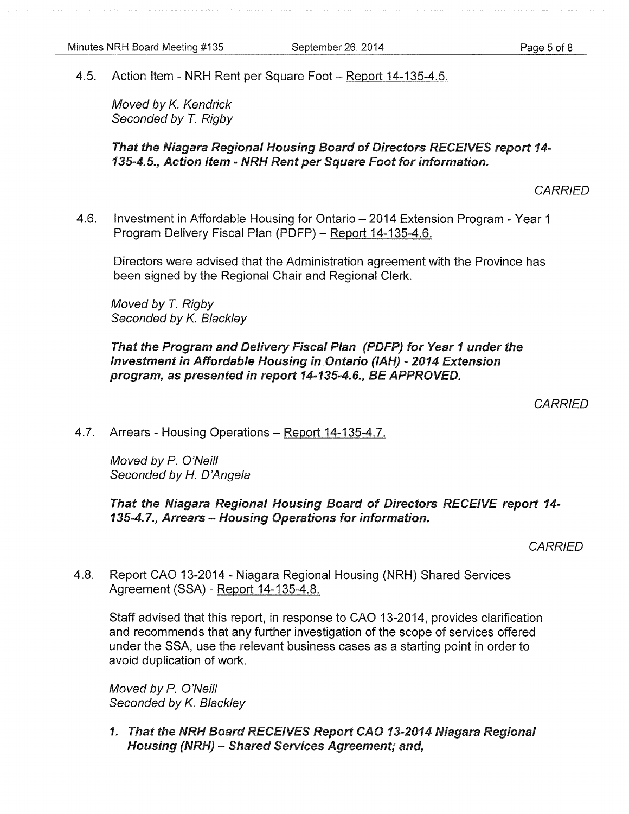4.5. Action Item- NRH Rent per Square Foot- Report 14-135-4.5.

Moved by *K.* Kendrick Seconded by *T.* Rigby

That the Niagara Regional Housing Board of Directors RECEIVES report 14-135-4.5., Action Item- NRH Rent per Square Foot for information.

**CARRIED** 

4.6. Investment in Affordable Housing for Ontario- 2014 Extension Program- Year 1 Program Delivery Fiscal Plan (PDFP) - Report 14-135-4.6.

Directors were advised that the Administration agreement with the Province has been signed by the Regional Chair and Regional Clerk.

Moved by *T.* Rigby Seconded by *K.* Blackley

That the Program and Delivery Fiscal Plan (PDFP) for Year 1 under the Investment in Affordable Housing in Ontario (IAH)- 2014 Extension program, as presented in report 14-135-4.6., BE APPROVED.

**CARRIED** 

4.7. Arrears- Housing Operations- Report 14-135-4.7.

Moved by P. O'Neill Seconded by H. D'Angela

That the Niagara Regional Housing Board of Directors RECEIVE report 14-135-4.7., Arrears - Housing Operations for information.

**CARRIED** 

4.8. Report CAO 13-2014- Niagara Regional Housing (NRH) Shared Services Agreement (SSA)- Report 14-135-4.8.

Staff advised that this report, in response to CAO 13-2014, provides clarification and recommends that any further investigation of the scope of services offered under the SSA, use the relevant business cases as a starting point in order to avoid duplication of work.

Moved by P. O'Neill Seconded by *K.* Blackley

1. That the NRH Board RECEIVES Report CAO 13-2014 Niagara Regional Housing (NRH) - Shared Services Agreement; and,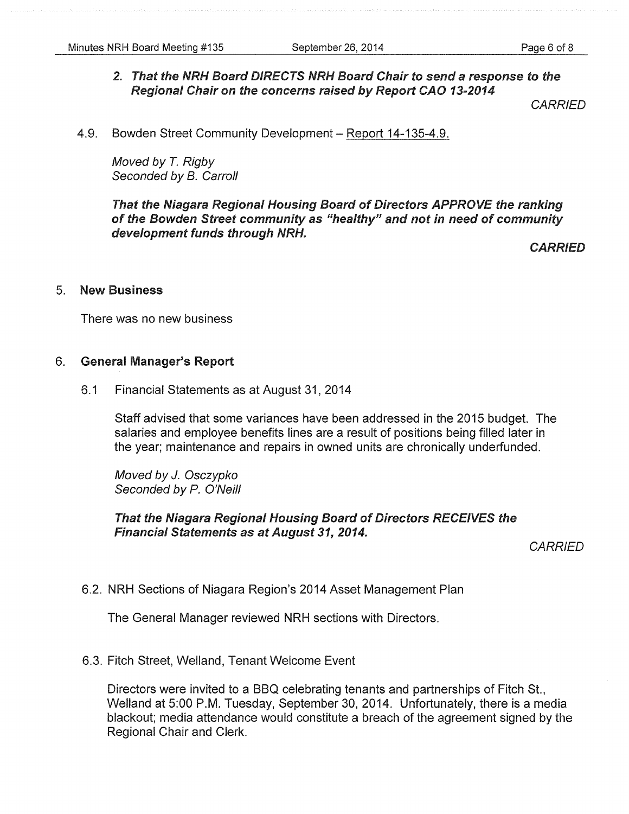# 2. That the NRH Board DIRECTS NRH Board Chair to send a response to the Regional Chair on the concerns raised by Report CAO 13-2014

**CARRIED** 

4.9. Bowden Street Community Development - Report 14-135-4.9.

Moved by *T.* Rigby Seconded by B. Carroll

That the Niagara Regional Housing Board of Directors APPROVE the ranking of the Bowden Street community as "healthy" and not in need of community development funds through NRH.

**CARRIED** 

### 5. New Business

There was no new business

#### 6. General Manager's Report

6.1 Financial Statements as at August 31, 2014

Staff advised that some variances have been addressed in the 2015 budget. The salaries and employee benefits lines are a result of positions being filled later in the year; maintenance and repairs in owned units are chronically underfunded.

Moved by J. Osczypko Seconded by P. O'Neill

## That the Niagara Regional Housing Board of Directors RECEIVES the Financial Statements as at August 31, 2014.

**CARRIED** 

6.2. NRH Sections of Niagara Region's 2014 Asset Management Plan

The General Manager reviewed NRH sections with Directors.

6.3. Fitch Street, Weiland, Tenant Welcome Event

Directors were invited to a BBQ celebrating tenants and partnerships of Fitch St., Welland at 5:00 P.M. Tuesday, September 30, 2014. Unfortunately, there is a media blackout; media attendance would constitute a breach of the agreement signed by the Regional Chair and Clerk.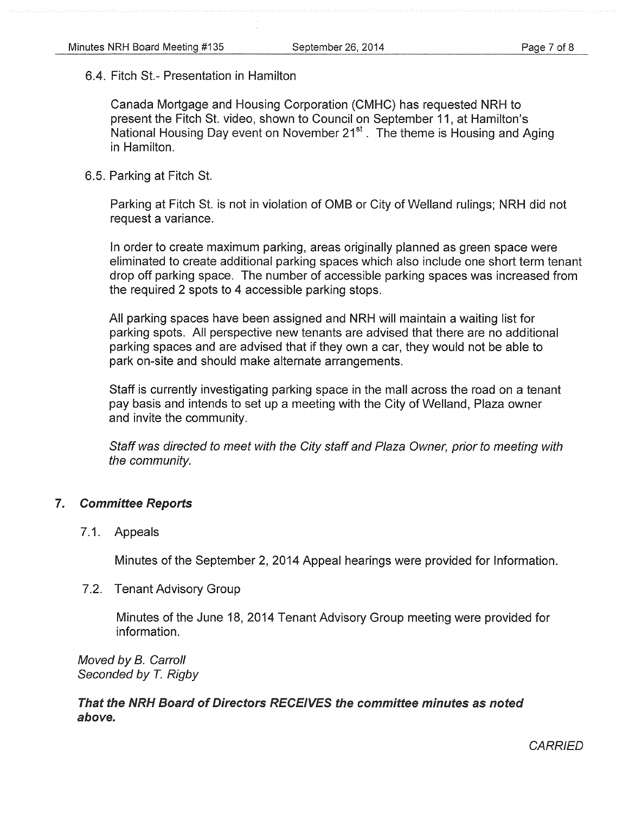#### 6.4. Fitch St.- Presentation in Hamilton

Canada Mortgage and Housing Corporation (CMHC) has requested NRH to present the Fitch St. video, shown to Council on September 11, at Hamilton's National Housing Day event on November  $21<sup>st</sup>$ . The theme is Housing and Aging in Hamilton.

#### 6.5. Parking at Fitch St.

Parking at Fitch St. is not in violation of OMB or City of Weiland rulings; NRH did not request a variance.

In order to create maximum parking, areas originally planned as green space were eliminated to create additional parking spaces which also include one short term tenant drop off parking space. The number of accessible parking spaces was increased from the required 2 spots to 4 accessible parking stops.

All parking spaces have been assigned and NRH will maintain a waiting list for parking spots. All perspective new tenants are advised that there are no additional parking spaces and are advised that if they own a car, they would not be able to park on-site and should make alternate arrangements.

Staff is currently investigating parking space in the mall across the road on a tenant pay basis and intends to set up a meeting with the City of Weiland, Plaza owner and invite the community.

Staff was directed to meet with the City staff and Plaza Owner, prior to meeting with the community.

#### 7. Committee Reports

#### 7.1. Appeals

Minutes of the September 2, 2014 Appeal hearings were provided for Information.

#### 7.2. Tenant Advisory Group

Minutes of the June 18, 2014 Tenant Advisory Group meeting were provided for information.

Moved by B. Carroll Seconded by *T.* Rigby

That the NRH Board of Directors RECEIVES the committee minutes as noted above.

**CARRIED**